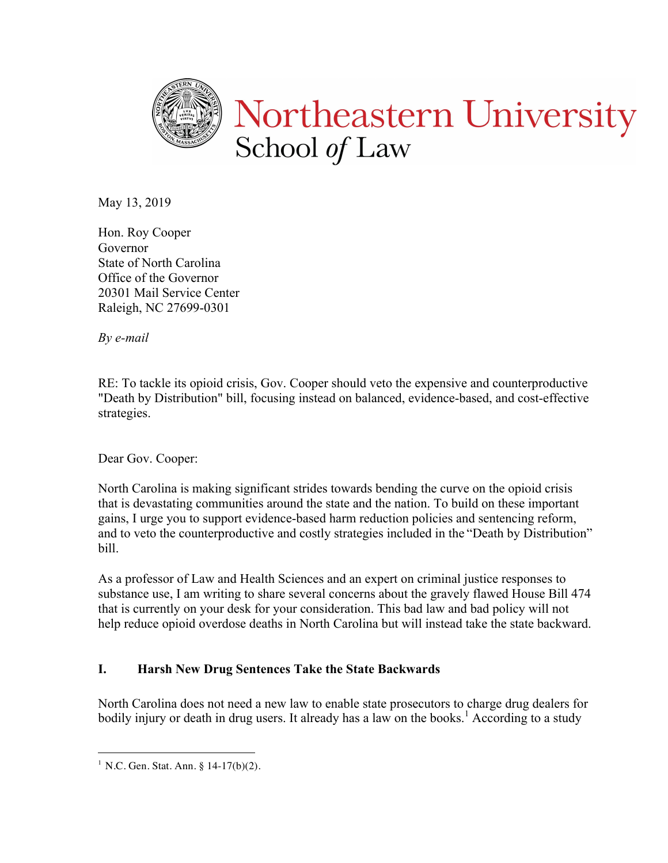

May 13, 2019

Hon. Roy Cooper Governor State of North Carolina Office of the Governor 20301 Mail Service Center Raleigh, NC 27699-0301

*By e-mail*

RE: To tackle its opioid crisis, Gov. Cooper should veto the expensive and counterproductive "Death by Distribution" bill, focusing instead on balanced, evidence-based, and cost-effective strategies.

Dear Gov. Cooper:

North Carolina is making significant strides towards bending the curve on the opioid crisis that is devastating communities around the state and the nation. To build on these important gains, I urge you to support evidence-based harm reduction policies and sentencing reform, and to veto the counterproductive and costly strategies included in the "Death by Distribution" bill.

As a professor of Law and Health Sciences and an expert on criminal justice responses to substance use, I am writing to share several concerns about the gravely flawed House Bill 474 that is currently on your desk for your consideration. This bad law and bad policy will not help reduce opioid overdose deaths in North Carolina but will instead take the state backward.

## **I. Harsh New Drug Sentences Take the State Backwards**

North Carolina does not need a new law to enable state prosecutors to charge drug dealers for bodily injury or death in drug users. It already has a law on the books.<sup>1</sup> According to a study

<sup>&</sup>lt;sup>1</sup> N.C. Gen. Stat. Ann. §  $14-17(b)(2)$ .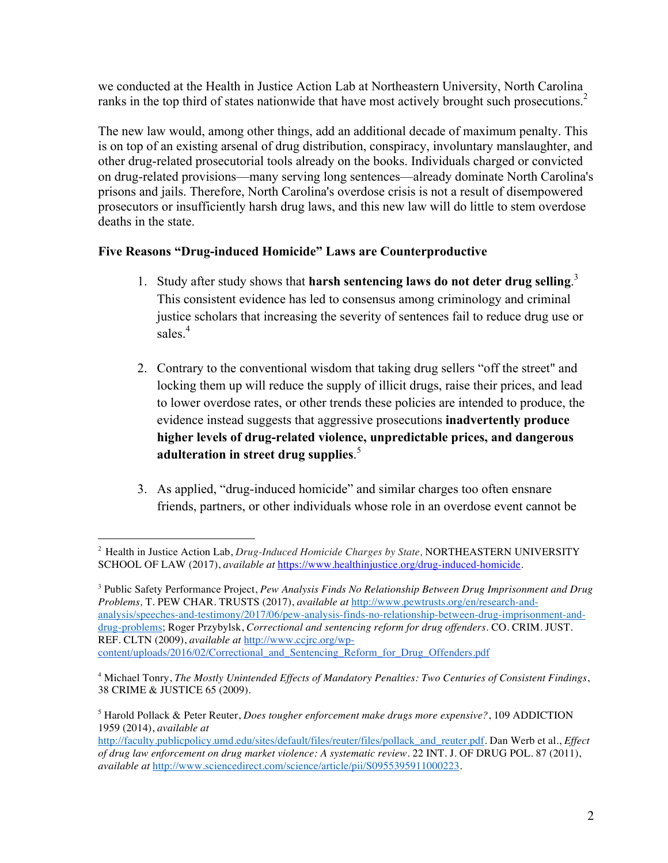we conducted at the Health in Justice Action Lab at Northeastern University, North Carolina ranks in the top third of states nationwide that have most actively brought such prosecutions.<sup>2</sup>

The new law would, among other things, add an additional decade of maximum penalty. This is on top of an existing arsenal of drug distribution, conspiracy, involuntary manslaughter, and other drug-related prosecutorial tools already on the books. Individuals charged or convicted on drug-related provisions—many serving long sentences—already dominate North Carolina's prisons and jails. Therefore, North Carolina's overdose crisis is not a result of disempowered prosecutors or insufficiently harsh drug laws, and this new law will do little to stem overdose deaths in the state.

## **Five Reasons "Drug-induced Homicide" Laws are Counterproductive**

- 1. Study after study shows that **harsh sentencing laws do not deter drug selling**. 3 This consistent evidence has led to consensus among criminology and criminal justice scholars that increasing the severity of sentences fail to reduce drug use or sales<sup>4</sup>
- 2. Contrary to the conventional wisdom that taking drug sellers "off the street" and locking them up will reduce the supply of illicit drugs, raise their prices, and lead to lower overdose rates, or other trends these policies are intended to produce, the evidence instead suggests that aggressive prosecutions **inadvertently produce higher levels of drug-related violence, unpredictable prices, and dangerous adulteration in street drug supplies**. 5
- 3. As applied, "drug-induced homicide" and similar charges too often ensnare friends, partners, or other individuals whose role in an overdose event cannot be

 <sup>2</sup> Health in Justice Action Lab, *Drug-Induced Homicide Charges by State,* NORTHEASTERN UNIVERSITY SCHOOL OF LAW (2017), *available at https://www.healthinjustice.org/drug-induced-homicide.* 

<sup>3</sup> Public Safety Performance Project, *Pew Analysis Finds No Relationship Between Drug Imprisonment and Drug Problems,* T. PEW CHAR. TRUSTS (2017), *available at* http://www.pewtrusts.org/en/research-andanalysis/speeches-and-testimony/2017/06/pew-analysis-finds-no-relationship-between-drug-imprisonment-anddrug-problems; Roger Przybylsk, *Correctional and sentencing reform for drug offenders.* CO. CRIM. JUST. REF. CLTN (2009), *available at* http://www.ccjrc.org/wpcontent/uploads/2016/02/Correctional\_and\_Sentencing\_Reform\_for\_Drug\_Offenders.pdf

<sup>4</sup> Michael Tonry, *The Mostly Unintended Effects of Mandatory Penalties: Two Centuries of Consistent Findings*, 38 CRIME & JUSTICE 65 (2009).

<sup>5</sup> Harold Pollack & Peter Reuter, *Does tougher enforcement make drugs more expensive?*, 109 ADDICTION 1959 (2014), *available at*

http://faculty.publicpolicy.umd.edu/sites/default/files/reuter/files/pollack\_and\_reuter.pdf. Dan Werb et al., *Effect of drug law enforcement on drug market violence: A systematic review.* 22 INT. J. OF DRUG POL. 87 (2011), *available at* http://www.sciencedirect.com/science/article/pii/S0955395911000223.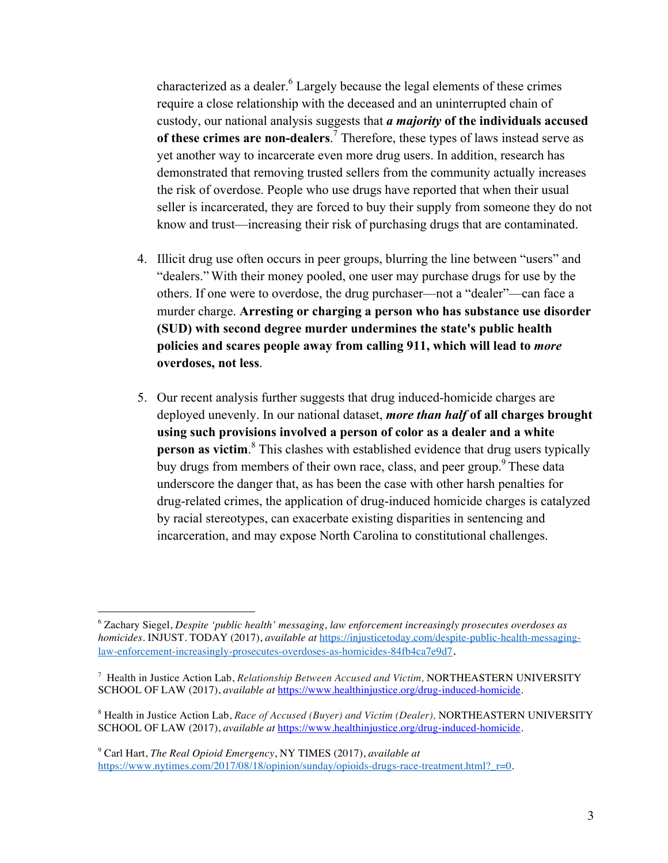characterized as a dealer.<sup>6</sup> Largely because the legal elements of these crimes require a close relationship with the deceased and an uninterrupted chain of custody, our national analysis suggests that *a majority* **of the individuals accused of these crimes are non-dealers**. <sup>7</sup> Therefore, these types of laws instead serve as yet another way to incarcerate even more drug users. In addition, research has demonstrated that removing trusted sellers from the community actually increases the risk of overdose. People who use drugs have reported that when their usual seller is incarcerated, they are forced to buy their supply from someone they do not know and trust—increasing their risk of purchasing drugs that are contaminated.

- 4. Illicit drug use often occurs in peer groups, blurring the line between "users" and "dealers." With their money pooled, one user may purchase drugs for use by the others. If one were to overdose, the drug purchaser—not a "dealer"—can face a murder charge. **Arresting or charging a person who has substance use disorder (SUD) with second degree murder undermines the state's public health policies and scares people away from calling 911, which will lead to** *more* **overdoses, not less**.
- 5. Our recent analysis further suggests that drug induced-homicide charges are deployed unevenly. In our national dataset, *more than half* **of all charges brought using such provisions involved a person of color as a dealer and a white person as victim**.<sup>8</sup> This clashes with established evidence that drug users typically buy drugs from members of their own race, class, and peer group.<sup>9</sup> These data underscore the danger that, as has been the case with other harsh penalties for drug-related crimes, the application of drug-induced homicide charges is catalyzed by racial stereotypes, can exacerbate existing disparities in sentencing and incarceration, and may expose North Carolina to constitutional challenges.

 $\frac{1}{6}$  Zachary Siegel, *Despite 'public health' messaging, law enforcement increasingly prosecutes overdoses as homicides.* INJUST. TODAY (2017), *available at* https://injusticetoday.com/despite-public-health-messaginglaw-enforcement-increasingly-prosecutes-overdoses-as-homicides-84fb4ca7e9d7.

<sup>7</sup> Health in Justice Action Lab, *Relationship Between Accused and Victim,* NORTHEASTERN UNIVERSITY SCHOOL OF LAW (2017), *available at https://www.healthinjustice.org/drug-induced-homicide.* 

<sup>8</sup> Health in Justice Action Lab, *Race of Accused (Buyer) and Victim (Dealer),* NORTHEASTERN UNIVERSITY SCHOOL OF LAW (2017), *available at* https://www.healthinjustice.org/drug-induced-homicide.

<sup>9</sup> Carl Hart, *The Real Opioid Emergency*, NY TIMES (2017), *available at*  https://www.nytimes.com/2017/08/18/opinion/sunday/opioids-drugs-race-treatment.html? $r=0$ .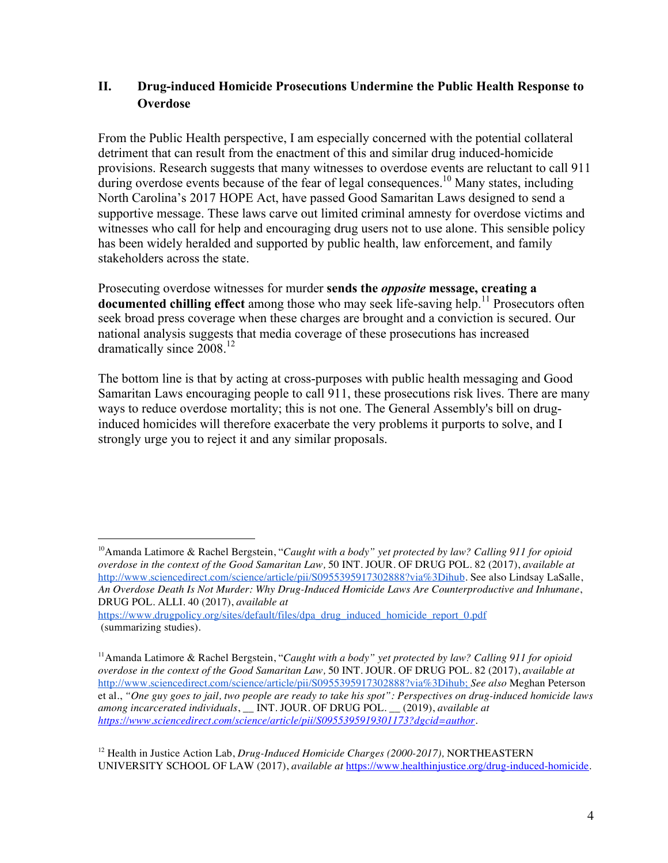## **II. Drug-induced Homicide Prosecutions Undermine the Public Health Response to Overdose**

From the Public Health perspective, I am especially concerned with the potential collateral detriment that can result from the enactment of this and similar drug induced-homicide provisions. Research suggests that many witnesses to overdose events are reluctant to call 911 during overdose events because of the fear of legal consequences.<sup>10</sup> Many states, including North Carolina's 2017 HOPE Act, have passed Good Samaritan Laws designed to send a supportive message. These laws carve out limited criminal amnesty for overdose victims and witnesses who call for help and encouraging drug users not to use alone. This sensible policy has been widely heralded and supported by public health, law enforcement, and family stakeholders across the state.

Prosecuting overdose witnesses for murder **sends the** *opposite* **message, creating a documented chilling effect** among those who may seek life-saving help.<sup>11</sup> Prosecutors often seek broad press coverage when these charges are brought and a conviction is secured. Our national analysis suggests that media coverage of these prosecutions has increased dramatically since  $2008<sup>12</sup>$ 

The bottom line is that by acting at cross-purposes with public health messaging and Good Samaritan Laws encouraging people to call 911, these prosecutions risk lives. There are many ways to reduce overdose mortality; this is not one. The General Assembly's bill on druginduced homicides will therefore exacerbate the very problems it purports to solve, and I strongly urge you to reject it and any similar proposals.

https://www.drugpolicy.org/sites/default/files/dpa\_drug\_induced\_homicide\_report\_0.pdf (summarizing studies).

12 Health in Justice Action Lab, *Drug-Induced Homicide Charges (2000-2017),* NORTHEASTERN UNIVERSITY SCHOOL OF LAW (2017), *available at* https://www.healthinjustice.org/drug-induced-homicide.

<sup>&</sup>lt;sup>10</sup>Amanda Latimore & Rachel Bergstein, "Caught with a body" yet protected by law? Calling 911 for opioid *overdose in the context of the Good Samaritan Law,* 50 INT. JOUR. OF DRUG POL. 82 (2017), *available at*  http://www.sciencedirect.com/science/article/pii/S0955395917302888?via%3Dihub. See also Lindsay LaSalle, *An Overdose Death Is Not Murder: Why Drug-Induced Homicide Laws Are Counterproductive and Inhumane*, DRUG POL. ALLI. 40 (2017), *available at* 

<sup>11</sup>Amanda Latimore & Rachel Bergstein, "*Caught with a body" yet protected by law? Calling 911 for opioid overdose in the context of the Good Samaritan Law,* 50 INT. JOUR. OF DRUG POL. 82 (2017), *available at*  http://www.sciencedirect.com/science/article/pii/S0955395917302888?via%3Dihub; *See also* Meghan Peterson et al., *"One guy goes to jail, two people are ready to take his spot": Perspectives on drug-induced homicide laws among incarcerated individuals*, \_\_ INT. JOUR. OF DRUG POL. \_\_ (2019), *available at https://www.sciencedirect.com/science/article/pii/S0955395919301173?dgcid=author.*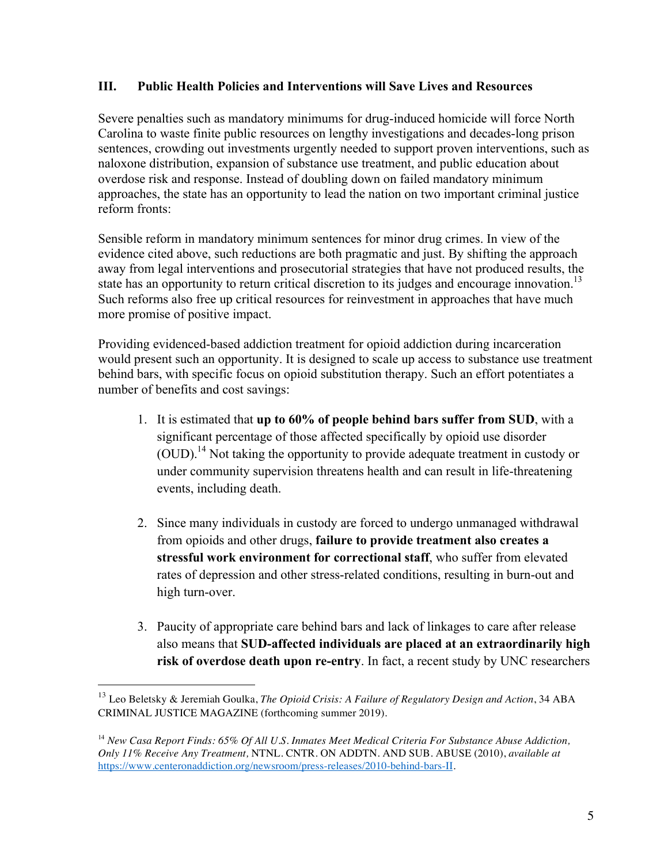## **III. Public Health Policies and Interventions will Save Lives and Resources**

Severe penalties such as mandatory minimums for drug-induced homicide will force North Carolina to waste finite public resources on lengthy investigations and decades-long prison sentences, crowding out investments urgently needed to support proven interventions, such as naloxone distribution, expansion of substance use treatment, and public education about overdose risk and response. Instead of doubling down on failed mandatory minimum approaches, the state has an opportunity to lead the nation on two important criminal justice reform fronts:

Sensible reform in mandatory minimum sentences for minor drug crimes. In view of the evidence cited above, such reductions are both pragmatic and just. By shifting the approach away from legal interventions and prosecutorial strategies that have not produced results, the state has an opportunity to return critical discretion to its judges and encourage innovation.<sup>13</sup> Such reforms also free up critical resources for reinvestment in approaches that have much more promise of positive impact.

Providing evidenced-based addiction treatment for opioid addiction during incarceration would present such an opportunity. It is designed to scale up access to substance use treatment behind bars, with specific focus on opioid substitution therapy. Such an effort potentiates a number of benefits and cost savings:

- 1. It is estimated that **up to 60% of people behind bars suffer from SUD**, with a significant percentage of those affected specifically by opioid use disorder (OUD).14 Not taking the opportunity to provide adequate treatment in custody or under community supervision threatens health and can result in life-threatening events, including death.
- 2. Since many individuals in custody are forced to undergo unmanaged withdrawal from opioids and other drugs, **failure to provide treatment also creates a stressful work environment for correctional staff**, who suffer from elevated rates of depression and other stress-related conditions, resulting in burn-out and high turn-over.
- 3. Paucity of appropriate care behind bars and lack of linkages to care after release also means that **SUD-affected individuals are placed at an extraordinarily high risk of overdose death upon re-entry**. In fact, a recent study by UNC researchers

 <sup>13</sup> Leo Beletsky & Jeremiah Goulka, *The Opioid Crisis: A Failure of Regulatory Design and Action*, 34 ABA CRIMINAL JUSTICE MAGAZINE (forthcoming summer 2019).

<sup>14</sup> *New Casa Report Finds: 65% Of All U.S. Inmates Meet Medical Criteria For Substance Abuse Addiction, Only 11% Receive Any Treatment,* NTNL. CNTR. ON ADDTN. AND SUB. ABUSE (2010), *available at*  https://www.centeronaddiction.org/newsroom/press-releases/2010-behind-bars-II.